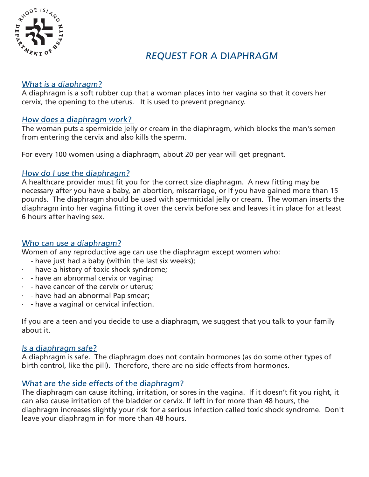

# REQUEST FOR A DIAPHRAGM

## What is a diaphragm?

A diaphragm is a soft rubber cup that a woman places into her vagina so that it covers her cervix, the opening to the uterus. It is used to prevent pregnancy.

## How does a diaphragm work?

The woman puts a spermicide jelly or cream in the diaphragm, which blocks the man's semen from entering the cervix and also kills the sperm.

For every 100 women using a diaphragm, about 20 per year will get pregnant.

## How do I use the diaphragm?

A healthcare provider must fit you for the correct size diaphragm. A new fitting may be necessary after you have a baby, an abortion, miscarriage, or if you have gained more than 15 pounds. The diaphragm should be used with spermicidal jelly or cream. The woman inserts the diaphragm into her vagina fitting it over the cervix before sex and leaves it in place for at least 6 hours after having sex.

## Who can use a diaphragm?

Women of any reproductive age can use the diaphragm except women who:

- have just had a baby (within the last six weeks);
- $\cdot$  have a history of toxic shock syndrome;
- · have an abnormal cervix or vagina;
- $\cdot$  have cancer of the cervix or uterus;
- · have had an abnormal Pap smear;
- $\cdot$  have a vaginal or cervical infection.

If you are a teen and you decide to use a diaphragm, we suggest that you talk to your family about it.

## Is a diaphragm safe?

A diaphragm is safe. The diaphragm does not contain hormones (as do some other types of birth control, like the pill). Therefore, there are no side effects from hormones.

## What are the side effects of the diaphragm?

The diaphragm can cause itching, irritation, or sores in the vagina. If it doesn't fit you right, it can also cause irritation of the bladder or cervix. If left in for more than 48 hours, the diaphragm increases slightly your risk for a serious infection called toxic shock syndrome. Don't leave your diaphragm in for more than 48 hours.